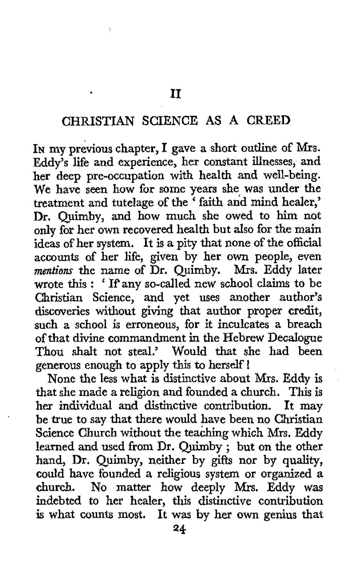## **CHRISTIAN** SCIENCE **AS A** CREED

**IN my** previous chapter, **I** gave **a** short outline **of Mrs.**  Eddy's life and experience, her constant illnesses, and her deep pre-occupation with health and well-being. We have seen how for some years she was under the treatment and tutelage of the ' faith and mind healer,' Dr. Quimby, and how much she owed to him not **only** for her own recovered health but also for the main ideas of her system. **It** is a pity that none of the official accounts **of** her life, given by her own people, even *mentions* the name of Dr. Quimby. Mrs. Eddy later wrote this : ' If any so-called new school claims to be Christian Science, and yet uses another author's discoveries without giving that author proper credit, such **a** school is erroneous, for it inculcates a breach of that divine commandment in the Hebrew Decalogue Thou shalt not steal.' Would that she had been generous enough to apply **this** to herself !

None the less what is distinctive about Mrs. Eddy is that she made a religion and founded a church. This is her individual and distinctive contribution. It may be true to say that there would have been no Christian Science Church without the teaching which Mrs. Eddy learned and used from Dr. Quirnby ; **but** on the other hand, Dr. Quimby, neither by gifts nor by quality, could have founded a religious system or organized **a**  church. No matter how deeply Nrs. Eddy was indebted to her healer, this distinctive contribution **is** what counts most. It was by her own genius that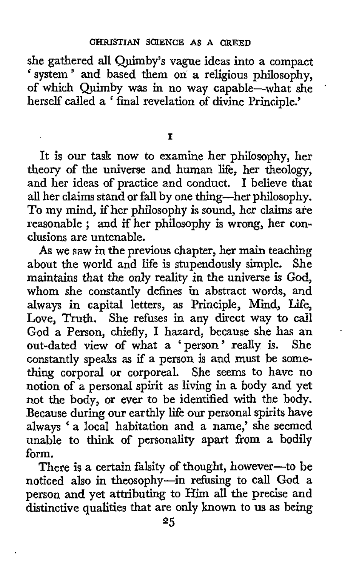she gathered ail Quimby's vague ideas into a compact system ' and based them on a religious philosophy, of which Quimby was in no way capable-what she herself called a ' final revelation of divine Principle.'

'

**I** 

It is our task now to examine her philosophy, her theory of the universe and human life, her theology, and her ideas of practice and conduct. **I** believe that all her claims stand or fall by one thing-her philosophy. To my mind, if her philosophy is sound, her claims are reasonable ; and if her philosophy is wrong, her conclusions are untenable.

**As** we saw in the previous chapter, her main teaching about the world and life is stupendously simple. She maintains that *the* only reality in the universe is **God,**  whom she constantly defines in abstract words, and always in capital letters, as Principle, Mind, Life, Love, Truth. She refuses in any direct way to call **God** a Person, chiefly, I hazard, because she has an out-dated view of what a 'person' really is. She constantly speaks as if a person is and must be something corporal or corporeal. She seems to have no notion of a personal spirit as living in a body and yet not the body, or ever to be identified with the body. Because during our earthly life our personal spirits have always 'a local habitation and a name,' she seemed unable *to* think *of* personality apart from *a* bodily form.

There is a certain falsity of thought, however-to be noticed also in theosophy-in refusing to **call** God a person and yet attributing to **Him** all the precise and distinctive qualities that are **only known** to **us** as being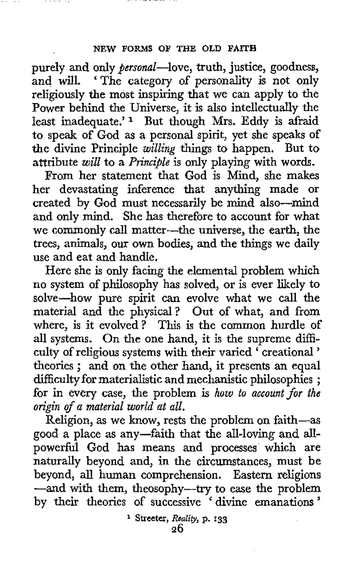## **NEW FORMS OF THE OLD FAITH**

purely and only *personal*—love, truth, justice, goodness, and will. 'The category of personality is not only 'The category of personality is not only religiously the most inspiring that we can apply to the Power behind the Universe, it is also intellectually the least inadequate.' **1** But though Mrs. Eddy is afraid to speak of God as a personal spirit, yet she speaks **of**  the divine Principle willing things to happen. But to attribute will to a *Principle* is only playing with words.

From her statement that God is Mind, she makes her devastating inference that anything made or created by God must necessarily be mind also-mind and only mind. She has therefore to account for what we commonly call matter-the universe, the earth, the trees, animals, our own bodies, and the things we daily use and eat and handle.

Here she is only facing the elemental problem which no system of philosophy has solved, or is ever likely to solve-how pure spirit can evolve what we call the material and the physical? Out of what, and from where, is it evolved? This is the common hurdle of all systems. On the one hand, it is the supreme difficulty of religious systems with their varied ' creational ' theories ; and on the other hand, it presents an equal difficulty for materialistic and mechanistic philosophies ; for in every case, the problem is how to account for the origin of a material world at all.

Religion, as we know, rests the problem on faith-as good a place as any-faith that the all-loving and allpowerful God has means and processes which are naturally beyond and, in the circumstances, must be beyond, all human comprehension. Eastern religions -and with them, theosophy-try to ease the problem by their theories of successive ' divine emanations '

> **26 Streeter,** *Reality,* **p. 133**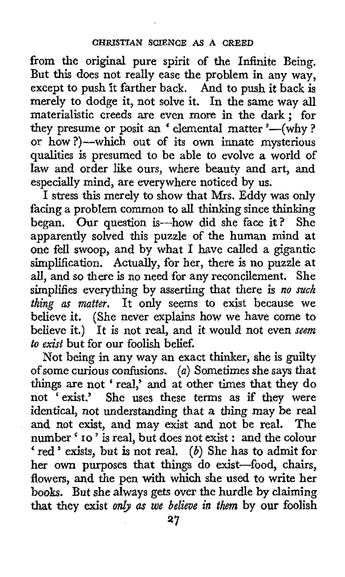from the original pure spirit of the Infinite Being. But this does not really ease the problem in any way, except to push it farther back. And to push it back is merely to dodge it, not solve it. In the same way all materialistic creeds are even more in the dark ; for materialistic creeds are even more in the dark; for<br>they presume or posit an 'elemental matter '--(why ? or how ?)-which out of its own innate mysterious qualities is presumed to be able to evolve **a** world of law and order like ours, where beauty and art, and especially mind, are everywhere noticed by us.

I stress this merely to show that Mrs. Eddy **was** only facing a problem common to all thinking since thinking began. Our question is-how did she face it? She apparently solved this puzzle of the human mind at one fell swoop, and by what **I** have called a gigantic simplification. Actually, for her, there is no puzzle at all, and so there is no need for any reconcilement. She simplifies everything by asserting that there is *no such thing* **as** *matter.* It only seems to exist because we believe it. (She never explains how we have come to believe it.) It is not real, and it would not even *seem to exist* but for our foolish belief.

Not being in any way an exact thinker, she is **guilty**  of some **curious** confusions. *(a)* Sometimes she says that things are not ' real,' and at other times that they do not 'exist.' She uses these terms as if they were identical, not understanding that *a* thing may be real and not exist, and may exist and not be real. The number ' **10** ' is real, but does not exist : and the colour ' red ' exists, but is not real. *(b)* She **has** to admit for her own purposes that things do exist-food, chairs, flowers, and the pen with which she used to write her books. But she always gets over the hurdle by claiming that they exist *on&* **as** *we believe in them* by **our** foolish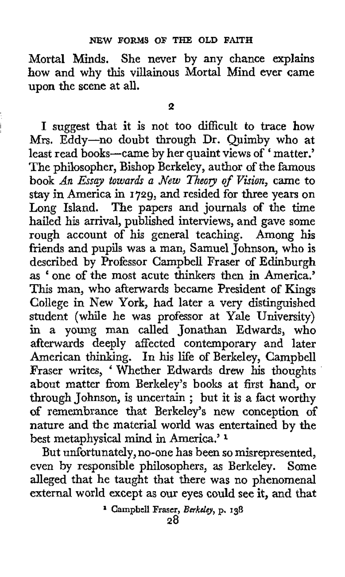Mortal Minds. She never by any chance explains how and why this villainous Mortal Mind ever came upon the scene at all.

I

**I** suggest that it is not too difficult to trace how Mrs. Eddy-no doubt through Dr. Quimby who at least read books-came by her quaint views of ' matter.' The philosopher, Bishop Berkeley, author of the famous book *An Essay towards a flew Theoory of Vision,* came to stay in America in **1729,** and resided for three years on Long Island. The papers and journals of the time hailed his arrival, published interviews, and gave some rough account **of** his general teaching. Among his friends and pupils was a man, Samuel Johnson, who is described by Professor Campbell Fraser of Edinburgh as ' one of the most acute thinkers then in America.' This man, who afterwards became President of Kings College in New York, had later a very distinguished student (while he was professor at Yale University) in a young man called Jonathan Edwards, who afterwards deeply affected contemporary and later American thinking. In his life of Berkeley, Campbell Fraser writes, ' Whether Edwards drew his thoughts about matter from Berkeley's books at first hand, or through Johnson, is uncertain ; but it is a fact worthy **of** remembrance that Berkeley's new conception **of**  nature and the material world was entertained by the best metaphysical mind in America.' **<sup>1</sup>**

But unfortunately, no-one has been so misrepresented, even by responsible philosophers, as Berkeley. Some alleged that he taught that there was no phenomenal external world except as our eyes could see it, and that

**Campbell Fraser,** *Berkcly,* **p. 138**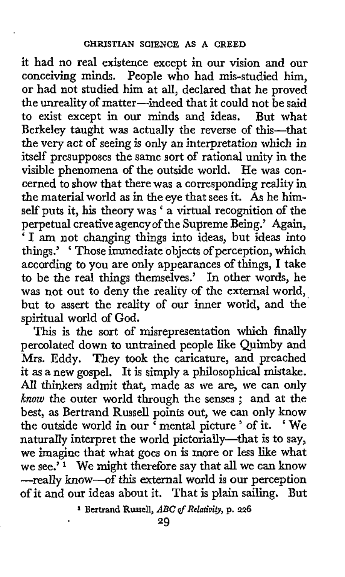it had no real existence except in our vision and our conceiving minds. People who had mis-studied him, or had not studied him at all, declared that he proved the unreality of matter-indeed that it could not **be** said to exist except in our minds and ideas. But what Berkeley taught was actually the reverse of this-that the very act of seeing is only *an* interpretation which in itself presupposes the same sort of rational unity in the visible phenomena of the outside world. He was concerned to show that there was a corresponding reality in the material world as in the eye that sees it. **As** he himself puts it, his theory was ' a virtual recognition of the perpetual creative agency of the Supreme Being.' Again, ' I **am** not changing things into ideas, but ideas into things.' ' Those immediate objects of perception, which according to you are only appearances of things, I take to be the real things themselves.' In other words, he was not out to deny the reality of the external world, but to assert the reality of our inner world, and the spiritual world of God.

This is the sort of misrepresentation which finally percolated down to untrained people like Quimby and Mrs. Eddy. They took the caricature, and preached it as a new gospel. It is simply a philosophical mistake. **All** thinkers admit that, made as we are, we can only *know* the outer world through the senses ; and at the best, as Bertrand Russell points out, we can only know the outside world in our ' mental picture ' of it. ' We naturally interpret the world pictorially-that is to say, we imagine that what goes on is more or less like what we see.' **1** We might therefore say that **all** we can know -really know-of this external world is our perception **of** it and **our** ideas about it. That is plain sailing. But

**<sup>1</sup> Bertrand Russell,** *ABC dRelatiuity,* **p. 226**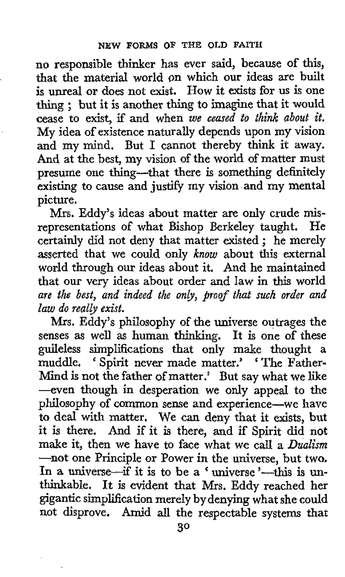no responsible thinker has ever said, because of this, that the material world on which our ideas are built is unreal or does not exist. How it **exists** for us is one thing ; but it is another thing to imagine that it would cease to exist, if and when *we ceased to think about it.*  My idea of existence naturally depends upon my vision and my mind. But I cannot thereby think it away. And at the best, my vision of the world of matter must presume one thing-that there is something definitely existing to cause and justify my vision and my mental picture.

Mrs. Eddy's ideas about matter are only crude **mis**representations of what Bishop Berkeley taught. He representations of what Bishop Berkeley taught. He certainly did not deny that matter existed; he merely asserted that we could only *know* about this external world through our ideas about it, And he maintained that our very ideas about order and law in this world *are the best, and indeed the only, proof that such order and law do really exist.* 

**Mrs.** Eddy's philosophy of the universe outrages the senses as well as human thinking. It is one **of** these guileless simplifications that only make thought a muddle. ' Spirit never made matter.' ' The Father-Mind is not the father of matter.' But say what we like --even though in desperation we only appeal *to* the philosophy of common sense and experience-we have to deal **with** matter. We can deny that it exists, **but**  it is there. And if it is there, and if Spirit did not make it, then we have to face what we call a *Dualism*  **-not** one Principle or Power in the universe, but two, In a universe-if it is to be a 'universe'-this is unthinkable. It is evident that Mrs. Eddy reached her gigantic simplification merely by denying what she could not disprove. Amid all the respectable systems that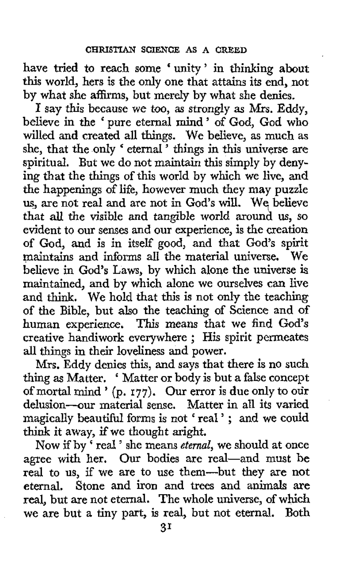have tried to reach some ' unity ' in thinking about this world, hers is the only one that attains its end, not by what she affirms, but merely by what she denies.

**I** say this because we too, as strongly **as** Mrs. Eddy, believe in the ' pure eternal mind' of God, God who willed and created all things. We believe, as much as she, that the only ' eternal<sup>"</sup> things in this universe are spiritual. But we do not maintain this simply by denying that the things of this world by which we live, and the happenings of life, however much they may puzzle us, are not real and are not in God's will. **We,** believe that **all** the visible and tangible world around us, so evident to our senses and our experience, is the creation of God, and is in itself good, and that God's spirit maintains and informs all the material universe. believe in God's Laws, by which alone the universe is maintained, and by which alone we ourselves can live and think. We hold that this is not only the teaching of the Bible, but also the teaching of Science and of human experience, This means that we find **God's**  creative handiwork everywhere ; His spirit permeates all things in their loveliness and power.

Mrs. Eddy denies this, and says that there is no such thing as Matter. ' Matter or body is but a false concept of mortal mind ' **(p. 177).** Our error is due only to our delusion-our material sense. Matter in all its varied magically beautiful forms is not 'real'; and we could think it away, if we thought aright.

**Now** if by ' real ' she means *eternal,* we should at once agree with her. Our bodies are real-and must be real to us, if we are to use them-but they are not eternal. Stone and iron and trees and animals **are**  real, but are not eternal. The whole universe, of which we are but a tiny part, is real, but not eternal. Both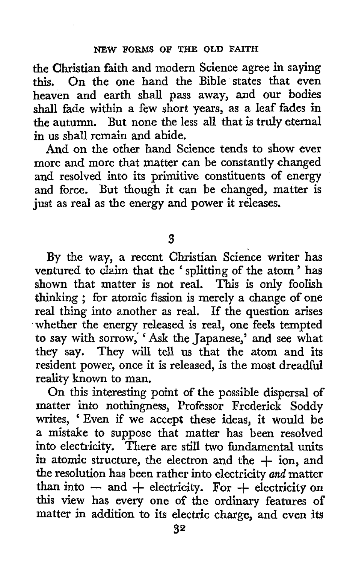the Christian faith and modern Science agree in saying this. On the one hand the Bible states that even heaven and earth shall pass away, and our bodies shall fade within a few short years, as a leaf fades in the autumn. But none the less all that is truly eternal in us shall remain and abide.

And on the other hand Science tends to show ever more and more that matter can be constantly changed and resolved into its primitive constituents of energy and force. But though it can be changed, matter is just as real as the energy and power it releases.

**3** 

By the way, a recent Christian Science writer has ventured to claim that the ' splitting of the atom ' has shown that matter is not real. This is only foolish thinking ; for atomic fission is merely a change of one real thing into another as real. **If** the question arises whether the energy released is real, one feels tempted to say with sorrow,' ' Ask the Japanese,' and see what they say. They will tell us that the atom and its resident power, once it is released, is the most dreadful reality known to man.

On this interesting point of the possible dispersal of matter into nothingness, Professor Frederick Soddy writes, 'Even if we accept these ideas, it would be a mistake to suppose that matter has been resolved into electricity. There are still two fundamental units in atomic structure, the electron and the  $+$  ion, and the resolution has been rather into electricity and matter than into  $-$  and  $+$  electricity. For  $+$  electricity on this view has every one of the ordinary features of matter in addition *to* its electric charge, and even its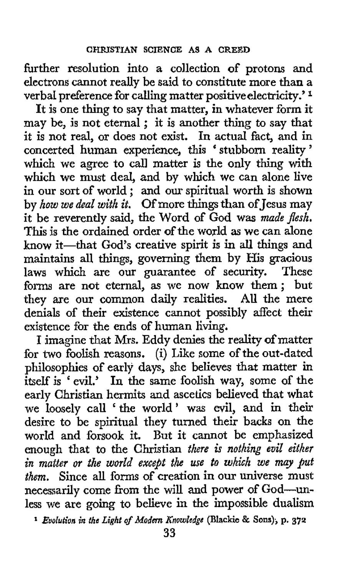further resolution into a collection of protons and electrons cannot really be said to constitute more than **a**  verbal preference for calling matter positive electricity.' **<sup>1</sup>**

It is one thing to say that matter, in whatever form it may be, is not eternal ; it is another thing to say that it is not real, or does not exist. In actual fact, and in concerted human experience, this 'stubborn reality' which we agree to call matter is the only thing with which we must deal, and by which we can alone live in our sort of world ; and **our** spiritual worth is shown by *how we deal with it.* Of more things than of Jesus may it be reverently said, the Word of God was *made flesh.*  This is the ordained order of the world as we can alone know it-that God's creative spirit is in all things and maintains all things, governing them by His gracious<br>laws which are our guarantee of security. These laws which are our guarantee of security. forms are not eternal, **as** we now **know** them; but they are our common daily realities. **AU** the mere denials of their existence cannot possibly affect their existence for the ends of human living.

**I** imagine that Mrs. Eddy denies the reality of matter for **two** foolish reasons. (i) Like some of the out-dated philosophies of early days, she believes that matter in itself is  $\cdot$  evil.' In the same foolish way, some of the early Christian hermits and ascetics believed that what we loosely call ' the world ' was evil, and in **their**  desire to be spiritual they turned their backs on the world and forsook it. But it cannot be emphasized enough that to the Christian *there 6 nothing evil either in matter or the world except the* **use** *to which we may put them,* Since all forms of creation in our universe must necessarily come from the will and power of God-unless we are going to believe in the impossible dualism

*Evolution in the Light of Modm Knowledga* **(Blackie** & **Sons), p. 372**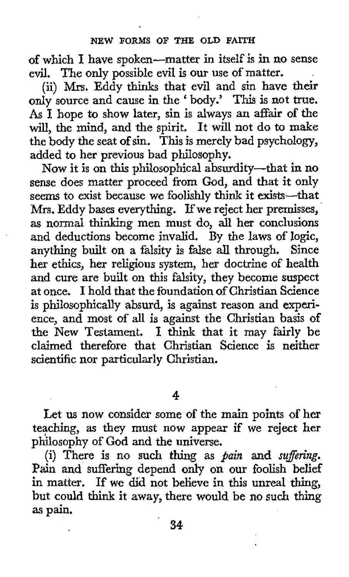## **NEW FORMS OF THE OLD FAITH**

**of** which **I** have spoken-matter in itself is **in** no sense evil. The only possible evil is our use of matter.

(ii) **Mrs.** Eddy thinks that evil and sin have their only source and cause in the ' body.' **This** is not *true.*  **As** I hope to show later, sin is always an affair of the will, the mind, and the spirit, It will not do to make the body the seat **of** sin. This is merely bad psychology, added to her previous bad philosophy.

Now it is on this philosophical absurdity-that in no sense does matter proceed from God, and that it only seems to exist because we foolishly think it exists-that **Mrs.** Eddy bases everything. **If** we reject her premisses, as normal thinking men must do, **all** her conclusions and deductions become invalid. By the laws of logic, anything built on a falsity is false all through. Since her ethics, her religious system, her doctrine **of** health and cure are built on this falsity, they become suspect at once. I hold that the foundation of Christian Science is philosophically absurd, is against reason and experience, and most of all is against the Christian basis **of**  the New Testament. I think that it may fairly be claimed therefore that Christian Science is neither scientific nor particularly Christian.

**4** 

Let us now consider some of the main points of her teaching, **as** they must now appear if we reject her philosophy of God and the universe.

(i) There is no such thing as *pain* and *sufiring.*  Pain and suffering depend **only** on our foolish belief in matter. If we did not believe in this unreal thing, but could think it away, there would be no such thing **as** pain.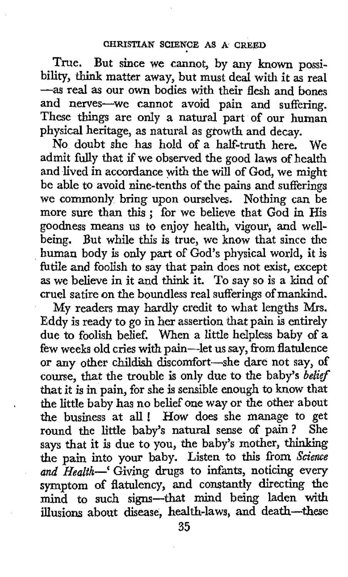True. But since we cannot, by any known possibility, think matter away, but must deal with it **as** real **-as** real **as** our own bodies with their flesh and bones and nerves-we cannot avoid pain and suffering. These things are only a natural part of our human physical heritage, as natural as **growth** and decay.

No doubt she has hold of a half-truth here. We admit fully that if we observed the good laws of health and lived in accordance **with** the will of God, we might be able to avoid nine-tenths of the pains and sufferings we commonly bring upon ourselves. Nothing can be more sure **than** this ; for we believe that God in His goodness means us to enjoy health, vigour, and **well**being. But while this is true, we know that since the human body is only part of God's physical world, it is futile and foolish to say that pain does not exist, except **as** we believe in it and **think** it. To say so is a kind of cruel satire on the boundless real sufferings of mankind.

My readers may hardly credit **to** what lengths **Mrs.**  Eddy is ready to go in her assertion that pain **is** entirely due to foolish belief. When a little helpless baby of a few weeks old cries with pain-let us say, from flatulence or any other childish discomfort-she dare not say, of course, that the trouble is only due to the baby's *belief*  that it is in pain, for she is sensible enough to know that the little baby has no belief one way or the other about the business at all ! **How** does she manage to get round the little baby's natural sense of pain? She says that it is due to you, the baby's mother, thinking the pain into your baby. Listen to this from *Science and Health--'* Giving drugs to infants, noticing every symptom of flatulency, and constantly directing the mind to such signs-that **mind** being laden with illusions about disease, health-laws, **and** death-these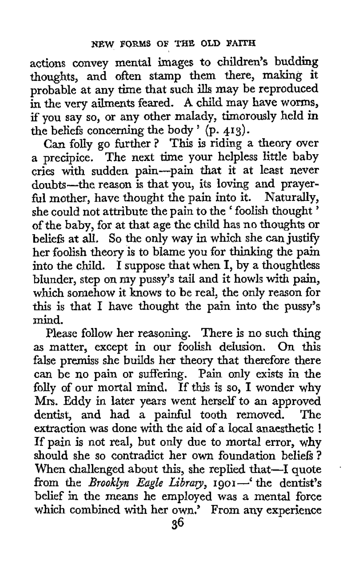actions convey mental images to children's budding thoughts, and often stamp them there, making it probable at any time that such ills may be reproduced in **the** very ailments feared. **A** child may have worms, if you say so, or any other malady, timorously held in the beliefs concerning the body ' (p. **4.13).** 

Can folly go further? This is riding a theory over a precipice. The next time your helpless little baby cries with sudden pain-pain that it at least never doubts-the reason is that you, its loving and prayerful mother, have thought the pain into it. Naturally, she could not attribute the pain to the 'foolish thought' of the baby, for at that age the child has no thoughts or beliefs at all. So the only way in which she can justify her foolish theory is to blame you for thinking the pain into the child. I suppose that when  $I$ , by a thoughtless blunder, step on my pussy's tail and it howls with pain, which somehow it knows to be real, the only reason for *this* is that I have thought the pain into the pussy's mind.

Please follow her reasoning. There is no such thing **as** matter, except in our foolish delusion. On this false premiss she builds her theory that therefore there can be no pain or suffering. Pain only exists in the folly of our mortal mind. If this is so, I wonder why Mrs. Eddy in later years went herself to an approved dentist, and had a painful tooth removed. The extraction was done with the aid of a local anaesthetic ! If pain is not real, but only due to mortal error, why should she so contradict her own foundation beliefs ? When challenged about this, she replied that-I quote from the *Brooklyn Eagle Library*, 1901-' the dentist's belief in the means he employed was a mental force which combined with her own.' From any experience

'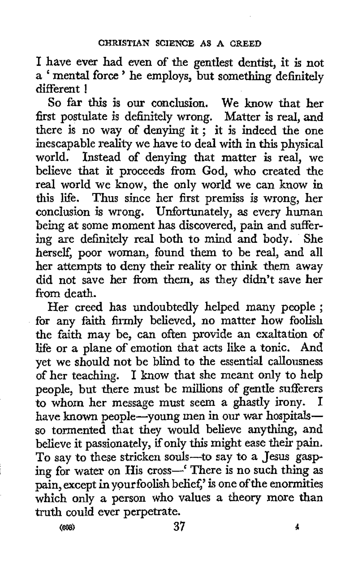I have ever had even of the gentlest dentist, it is not <sup>a</sup>' mental force ' he employs, but something definitely different !

So far this is our conclusion. We know that her first postulate is definitely wrong. Matter is real, and there is no way of denying it; it is indeed the one inescapable reality we have to deal with in this physical world. Instead of denying that matter is real, we believe that it proceeds from God, who created the real world we know, the only world we can know in this life. Thus since her first premiss is wrong, her conclusion is wrong. Unfortunately, **as** every human being at some moment has discovered, pain and suffering are definitely real both to mind and body. She herself, poor woman, found them to be real, and all her attempts to deny their reality or think them away did not save her from them, as they didn't save her from death.

Her creed has undoubtedly helped many people ; for any faith firmly believed, no matter how foolish the faith may be, can often provide an exaltation of life or a plane of emotion that acts like a tonic. And yet we should not be blind to the essential callousness of her teaching. I know that she meant only to help people, but there must be millions of gentle sufferers to whom her message must seem a ghastly irony. I have **known** people-young men in our war hospitalsso tormented that they would believe anything, and believe it passionately, if only this might ease their pain. To say to these stricken souls-to say to a Jesus gasping for water on His cross-' There is no such thing **as**  pain, except in your foolish belief,' is one of the enormities which only **a** person who values a theory more than truth could ever perpetrate.

**(W) 37 4**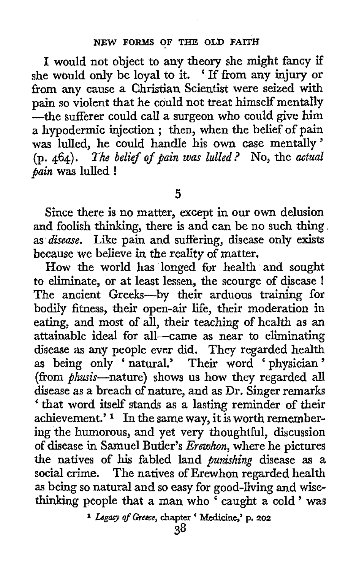I would not object to any theory she might fancy if she would only be loyal to it. ' If from any **injury** or from any cause a Christian Scientist were seized with pain so violent that he could not treat himself mentally -the sufferer could call a surgeon who could give him a hypodermic injection ; then, when the belief of pain was lulled, he could handle his **own** case mentally' (p. **464).** *The belief of* pain *was* lulled ? No, the actual pain **was** lulled !

**5** 

Since there is no matter, except in our **own** delusion and foolish thinking, there is and can be no such thing **as** disease. Like pain and suffering, disease only exists because we believe in the reality of matter.

How the world has longed for health 'and sought to eliminate, or at least lessen, the scourge of disease ! The ancient Greeks-by their arduous training for bodily fitness, their open-air life, their moderation in eating, and most of all, their teaching of health as an attainable ideal for all-came as near to eliminating disease as any people ever did. They regarded health **as** being only ' natural.' Their word ' physician ' (from phwis-nature) shows us **how** they regarded all disease **as** a breach of nature, and as Dr. Singer remarks ' that word itself stands as a lasting reminder of their achievement.'  $\frac{1}{1}$  In the same way, it is worth remembering the humorous, and yet very thoughtful, discussion of disease in Samuel Butler's Erewhon, where he pictures the natives of his fabled land punirhing disease **as** a social crime. The natives of Erewhon regarded health **as** being so natural and so easy for good-living and wisethinking people that a man who caught a cold ' was

*Lcgq of* **Greece, chapter** ' **Medicine: p. 202**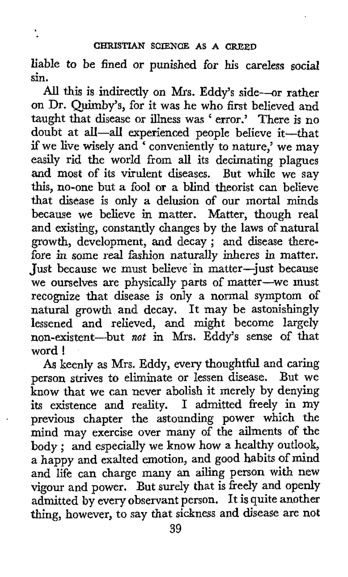liable to be fined or punished for **his** careless social sin.

*All* this is indirectly on **Mrs.** Eddy's side-or rather on Dr. Quimby's, for it was he who first believed and taught that disease or illness was ' error.' There is no doubt at aIl-aU experienced people believe it-that if we live wisely and ' conveniently to nature,' we may easily rid the world from all its decimating plagues and most of its virulent diseases. But while we say this, no-one but a fool or a blind theorist can believe that disease is only a delusion of our mortal minds because we believe in matter. Matter, though real and existing, constantly changes by the laws of natural growth, development, and decay ; and disease therefore in some real fashion naturally inheres in matter. Just because we must believe in matter-just because we ourselves are physically parts of matter-we must recognize that disease is only a normal symptom of natural growth and decay. It may be astonishingly lessened **and** relieved, and might become largely non-existent-but *not* in Mrs. Eddy's sense of that word !

*As* keenly **as** Mrs. Eddy, every thoughtful and caring person strives to eliminate or lessen disease. But we know that we can never abolish it merely by denying its existence and reality. I admitted freely in my previous chapter the astounding power which the mind may exercise over many of the ailments of the body ; and especially we know how a healthy outlook, a happy and exalted emotion, and good habits of mind and life can charge many an ailing person with new vigour and power. But surely that is freely and openly admitted by every observant person. It is quite another thing, however, to say that sickness and disease are not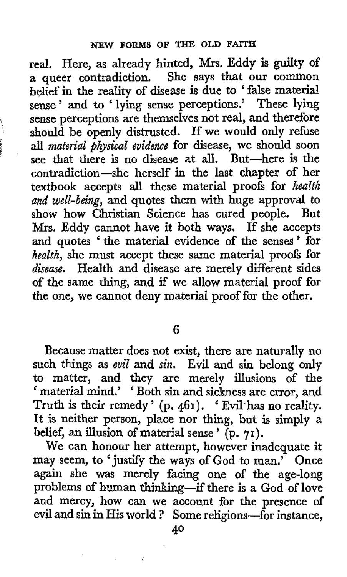real. Here, as already hinted, **Mrs.** Eddy is guilty **of**  a queer contradiction. She says that our common belief in the reality of disease is due to ' false material belief in the reality of disease is que to talse material<br>sense ' and to ' lying sense perceptions.' These lying sense perceptions are themselves not real, and therefore should be openly distrusted. **If** we would only rehse **all** *material physical evidence* for disease, we should soon see that there is no disease at all. But-here **is** the contradiction-she herself in the last chapter of her textbook accepts **all** these material proofs for *health and well-being,* and quotes them with huge approval to show how Christian Science has cured people. But Mrs. Eddy cannot have it both ways. If she accepts and quotes ' the material evidence of the senses ' for *health,* she must accept these same material proofs for *disease.* Health and disease are merely different sides of the same thing, and if we allow material proof for the one, we cannot deny material proof for the other.

)<br>) 1

*6* 

Because matter does not exist, there are naturally no such things as *evil* **and** *sin.* Evil and sin belong only to matter, and they are merely illusions of the "material mind.' 'Both sin and sickness are error, and Truth is their remedy ' (p. **461).** ' Evil'has no reality. It is neither person, place nor thing, but is simply **a**  belief, an illusion of material sense ' (p. **71).** 

We can honour her attempt, however inadequate it may seem, to 'justify the ways of God to man.' Once again she **was** merely facing one of the age-long problems of human thinking-if there is a God of love and mercy, how can we account for the presence of evil and **sin** in His world ? Some religions-for instance,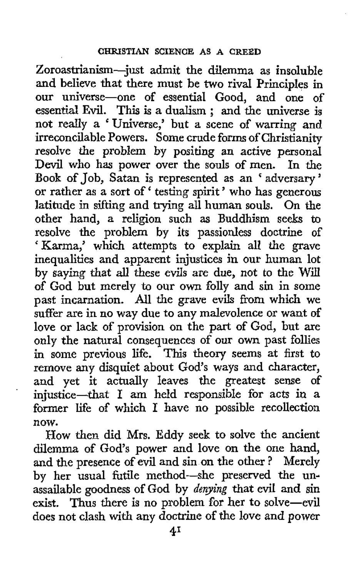Zoroastrianism-just admit the dilemma as insoluble and believe that there must be **two** rival Principles in our universe-one of essential Good, and one of our universe—one of essential Good, and one of<br>essential Evil. This is a dualism; and the universe is not really a 'Universe,' but a scene of warring and irreconcilable Powers. Some crude forms of Christianity resolve the problem by positing an active personal<br>Devil who has nower over the souls of men. In the Devil who has power over the souls of men. Book of Job, Satan is represented as an 'adversary' or rather as a sort of ' testing spirit ' who has generous latitude in sifting and trying all human souls. On the other hand, a religion such as Buddhism seeks to resolve the problem by its passionless doctrine of 'Karma,' which attempts to explain all the grave inequalities and apparent injustices in our human lot by saying that all these evils are due, not to the Will of God but merely to our own folly and sin in some past incarnation. All the grave evils from which we suffer are in no way due to any malevolence or want of love or lack of provision on the part of God, but are only the natural consequences of **our** own past follies in some previous life. This theory seems at first to remove any disquiet about God's ways and character, and yet it actually leaves the greatest sense of injustice-that *I* **am** held responsible for acts in **a**  former life of which **I** have no possible recollection now.

How then did Mrs. Eddy seek to solve the ancient dilemma of God's power and love on the one hand, and the presence of evil and sin on the other ? Merely by her usual futile method-she preserved the unassailable goodness of God by *denying* that evil and sin exist. Thus there is no problem for her to solve-evil does not clash with any doctrine of *the* love and power

'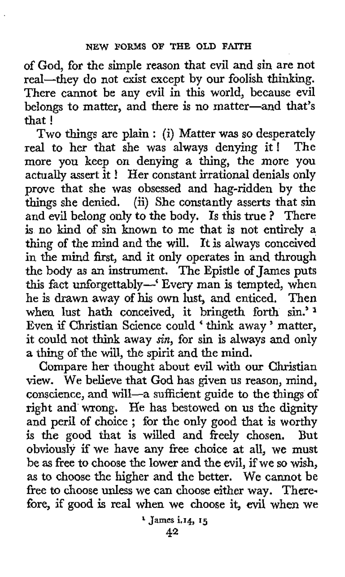of God, for the simple reason that evil and sin are not real-they do not exist except by our foolish thinking. There cannot be any evil in this world, because evil belongs to matter, and there is no matter-and that's that !

Two things are plain : (i) Matter was so desperately real to her that she was always denying it! The more you keep on denying a thing, the more you actually assert it ! Her constant irrational denials only prove that she **was** obsessed and hag-ridden by the things she denied. (ii) She constantly asserts that sin and evil belong only to the body. Is this true ? There is no kind of sin known to me that is not entirely a thing of the mind and the will. It is always conceived in the mind first, and it only operates in and through the body as an instrument. The Epistle of James puts this fact unforgettably-' Every man is tempted, when he is drawn away of his own lust, and enticed. Then when lust hath conceived, it bringeth forth sin.'<sup>1</sup> Even if Christian Science could ' think away ' matter, it could not **think** away *sin,* for sin is always and only a thing of the will, the spirit and the mind.

Compare her thought about evil with our Christian view. We believe that God has given **us** reason, mind, conscience, and will-a sufficient guide to the things of right and wrong. He has bestowed on us the dignity and peril of choice; for the only good that is worthy is the good that is willed and freely chosen. But is the good that is willed and freely chosen. obviously if we have any free choice at all, we must be **as** free to choose the lower and the evil, if we so **wish, as** to choose the higher and the better. We cannot be free to choose unless we can choose either way. Therefore, if good is real when we choose it, evil when we

**l James i.14, 15**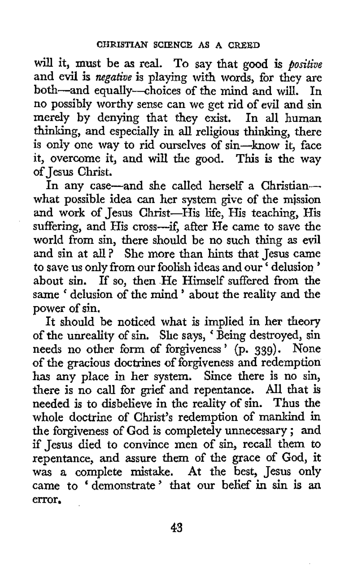will it, must be **as** real. To say that good **is** *positive*  and evil is *negative* is playing with words, for they are both-and equally-choices of the mind and will. In no possibly worthy sense can we get rid of evi1 and sin merely by denying that they exist. In **all** human thinking, and especially in all religious thinking, there is only one way to rid ourselves of sin-know it, face it, overcome it, and will the good. This is the way of Jesus Christ.

In any case-and she called herself a Christianwhat possible idea can her system give of the mission and work of Jesus Christ-His life, His teaching, His suffering, and His cross-if, after He came to save the world from sin, there should be no such thing **as** evil and sin at all? She more than hints that Jesus came to save us only from our foolish ideas and our ' delusion ' about sin. If so, then He Himself suffered from the same ' delusion of the mind ' about the reality and the power of sin.

It should be noticed what is implied in her theory of the unreality of sin. She says, ' Being destroyed, sin needs no other form of forgiveness ' **(p. 339).** None **of** the gracious doctrines of forgiveness and redemption has any place in her system. Since there is no sin, there is no call for grief and repentance. All that is needed is to disbelieve in the reality of sin. Thus the whole doctrine of Christ's redemption of mankind in the forgiveness of God is completely unnecessary ; and if Jesus died to convince men of sin, recall them to repentance, **and** assure them of the grace of God, it was a complete mistake. At the best, Jesus only came **to** ' demonstrate ' that our belief in sin *is* an error.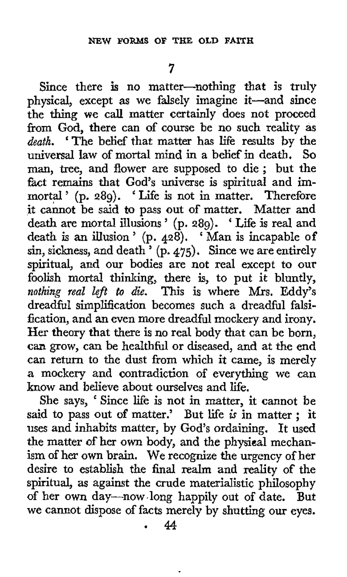**7** 

Since there is no matter-nothing that is truly physical, except as we falsely imagine it-and since the thing we call matter certainly does not proceed from God, there can of course be no such reality as *death.* 'The belief that matter has life results by the universal law of mortal mind in a belief in death. *So*  man, tree, and flower are supposed to die ; but the fact remains that God's universe is spiritual and immortal ' (p. **289).** ' Life is not in matter. Therefore it cannot be said to pass out of matter. Matter and death are mortal illusions ' (p. **289).** ' Life is real and death is an illusion ' (p. **428).** ' Man is incapable **of**  sin, sickness, and death ' (p. **475).** Since we are entirely spiritual, and our bodies are not real except to our foolish mortal thinking, there is, to put it bluntly, *nothing real Zeft to die.* This is where Mrs. Eddy's dreadfid simplification becomes such a dreadful falsification, and an even more dreadful mockery and irony. Her theory that there is no real body that can be born, can **grow,** can be healthful or diseased, and at the end can return to the dust from which it came, is merely a mockery and contradiction of everything we can know and believe about ourselves and life.

She says, ' Since life is not in matter, it cannot be said to pass out of matter.' But life *is* in matter : it uses and inhabits matter, by God's ordaining. It used the matter of her own body, and the physical mechanism of her own brain. We recognize the urgency of her desire to establish the final realm and reality **of** the spiritual, as against the crude materialistic philosophy of her own day-now.long happily out of date. But we cannot dispose of facts merely by shutting our eyes. ' **44**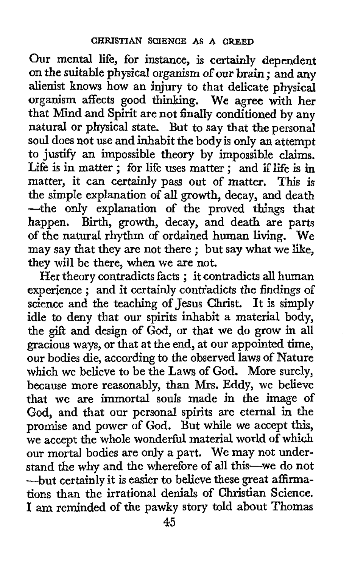Our mental life, for instance, is certainly dependent on the suitable physical organism of our brain ; and any alienist knows how an injury to that delicate physical organism affects good thinking. We agree with her that Mind and Spirit are not finally conditioned by any natural or physical state. But to say that the personal soul does not use and inhabit the body is **only** an attempt to justify an impossible theory by impossible claims. Life is in matter ; for life uses matter ; and if life is in matter, it can certainly pass out of matter. This is the simple explanation of **all** growth, decay, and death -the only explanation of the proved things that happen. Birth, growth, decay, and death are parts of the natural rhythm of ordained human living. We of the natural rhythm of ordained human living. We may say that they are not there; but say what we like, they will be there, when we are not.

Her theory contradicts facts ; it contradicts all human Her theory contradicts facts; it contradicts all human<br>experience; and it certainly contradicts the findings of science and the teaching of Jesus Christ. It is simply idle to deny that our spirits inhabit a material body, the gift and design of God, or that we do grow in all gracious ways, or that at the end, at our appointed time, *OUT* bodies die, according to the observed laws of Nature which we believe to be the Laws of God. More surely, because more reasonably, than **Mrs.** Eddy, we believe that we are immortal souls made in the image of God, and that our personal spirits are eternal in the promise and power of God. But while we accept this, we accept the whole wonderful material world of which our mortal bodies are only a part. We may not understand the why and the wherefore of all this-we do not -but certainly it is easier to believe these great affirmations than the irrational denials of Christian Science. I am reminded of the pawky story told about Thomas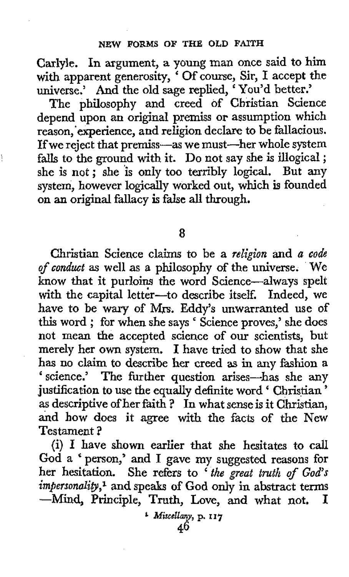Carlyle. In argument, a young man once said to him with apparent generosity, ' Of course, Sir, I accept the with apparent generosity, OI course, SII, I accept to universe.' And the old sage replied, 'You'd better.'

The philosophy and creed of Christian Science depend upon an original premiss or assumption which reason,'experience, and religion declare to be fallacious. If we reject that premiss—as we must—her whole system It we reject that premiss—as we must—fier whole system<br>falls to the ground with it. Do not say she is illogical ; she is not; she is only too terribly logical. But any system, however logically worked out, which is founded on an original fallacy is false **all through.** 

**8** 

Christian Science claims to be a *religion* and *a code of conduct* as well as a philosophy of the universe. We know that it purloins the word Science-always spelt with the capital letter-to describe itself. Indeed, we have to be wary of Mjx. Eddy's unwarranted use of this word ; for when she says Science proves,' she does not mean the accepted science of our scientists, but merely her **own** system. I have tried to show that she has no claim to describe her creed **as** in any fashion a 'science.' The further question arises-has she any science. In the further question arises—has sine any justification to use the equally definite word ' Christian ' as descriptive of her faith ? In what sense is it Christian, and how does it agree with the facts of the New Testament ?

(i) I **have** shown earlier that she hesitates to call God a person,' and **I** gave my suggested reasons for her hesitation. She refers to ' *the great truth of God's*  impersonality,<sup>1</sup> and speaks of God only in abstract terms **--Mind,** Principle, Truth, Love, and what not. I

**46**  *f* **Miscellany, p. I I 7**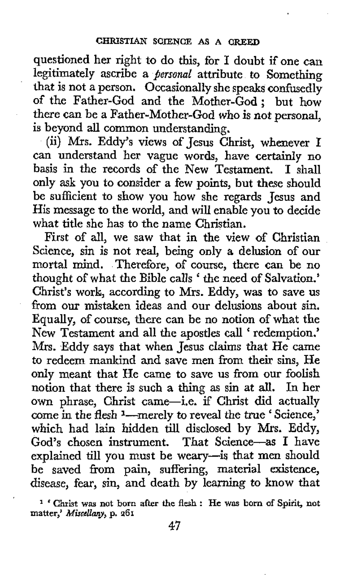questioned her right to do this, for I doubt if one can legitimately ascribe *a personal* attribute **to** Something that is not a person. Occasionally she speaks confusedly of the Father-God and the Mother-God; but how there can be a Father-Mother-God who is not personal, is beyond **all** common understanding.

(ii) Mrs. Eddy's views of Jesus Christ, whenever I can understand her vague words, have certainly no basis in the records of the New Testament. **1** shall only **ask** you to consider a few points, but these should be sufficient to show you how she regards Jesus and His message to the world, and will enable you to decide what title she has to the name Christian.

First of all, we saw that in the view **of** Christian Science, sin is not real, being only a delusion of our mortal mind. Therefore, **of** course, there can be no thought of what the Bible calls ' the need of Salvation.' Christ's work,, according to Mrs. Eddy, was to save us from our mistaken ideas and our delusions about sin. Equally, of course, there can be no notion of what the New Testament and all the apostles call ' redemption.' Mrs. Eddy says that when Jesus claims that He came to redeem mankind and save men from their sins, He **only** meant that He came to save **us** from our foolish notion that there is such *a* thing as sin at **all.** In her own phrase, Christ came-i.e. if Christ did actually come in the flesh <sup>1</sup>-merely to reveal the true ' Science,' which had lain hidden till disclosed **by Mrs.** Eddy, God's chosen instrument. That Science-as **I** have explained till you must be weary-is that men should be saved from pain, suffering, material existence, disease, fear, sin, and death by learning to know that

**matter,'** *Mimllany,* **p. 261 <sup>1</sup>**' **Christ was** not born **after** the flesh : **He was** born **of Spirit,** not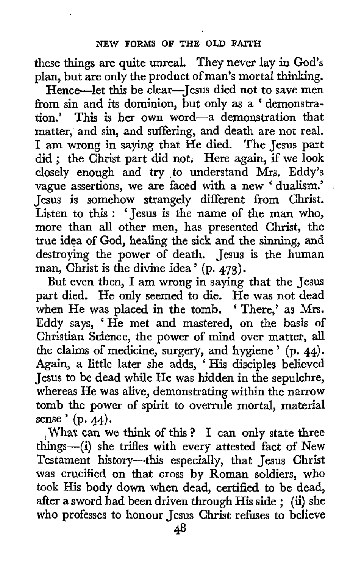these things are quite unreal. They never lay in God's plan, but are only the product of man's mortal thinking.

Hence-let this be clear-Jesus died not to save men Hence—let this be clear—lesus died not to save men<br>from sin and its dominion, but only as a 'demonstration.' This is her own word-a demonstration that matter, and sin, and suffering, and death are not real. **I** am wrong in saying that He died. The Jesus **part**  did ; the Christ part did not. Here again, if we look closely enough and try .to understand Mrs. Eddy's vague assertions, we are faced with a new ' dualism.' . Jesus is somehow strangely different from Christ. Listen to this : ' Jesus is the name of the man who, more than all other men, has presented Christ, the true idea of God, healing the sick and the sinning, and destroying the power of death. Jesus is the human man, Christ is the divine idea ' **(p. 473).** 

But even then, **I** am wrong in saying that the Jesus part died. He only seemed to die. He was not dead when He was placed in the tomb. ' There,' as Mrs. Eddy says, 'He met and mastered, on the basis of Christian Science, the power of mind over matter, all the claims of medicine, surgery, and hygiene ' **(p. 44).**  Again, a little later she adds, 'His disciples believed Jesus to be dead while He was hidden in the sepulchre, whereas He was alive, demonstrating within the narrow tomb the power of spirit to overrule mortal, material sense ' (p. **44).** 

What can we think of this? I can only state three things-(i) she trifles with every attested fact of New Testament history-this especially, that Jesus Christ was crucified on that cross by Roman soldiers, who took His body down when dead, certified to be dead, after a sword had been driven through His side ; **(ii)** she who professes **to** honour Jesus Christ refines to believe *i*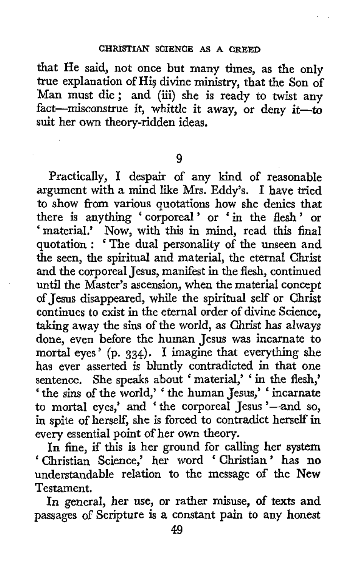that He said, not once but many times, as the only true explanation of Hi? divine ministry, that the Son **of**  Man must die; and (iii) she is ready to twist any fact-misconstrue it, whittle it away, or deny it-to suit her own theory-ridden ideas.

9

Practically, **I** despair of any kind of reasonable argument with a mind like Mrs. Eddy's. I have tried to show from various quotations how she denies that there is anything 'corporeal' or 'in the flesh' **or**  'material.' **Now,** with this in mind, read this final quotation : ' The dual personality of the unseen and the seen, the spiritual and material, the eternal Christ and the corporeal Jesus, manifest in the flesh, continued until the Master's ascension, when the material concept of Jesus disappeared, while the spiritual self or Christ continues to exist in the eternal order of divine Science, taking away the sins of the world, **as** Christ has always done, even before the human Jesus was incarnate to mortal eyes' (p. **334).** I imagine that everything she has ever asserted is bluntly contradicted in that one sentence. She speaks about 'material,' ' in the flesh,' ' the sins of the world,' ' the human Jesus,' ' incarnate to mortal eyes,' and 'the corporeal Jesus'-and so, in spite of herself, she is forced to contradict herself in every essential point of her own theory.

In fine, if this is her ground for calling her system ' Christian Science,' her word ' Christian' has no understandable relation to the message of the New Testament.

In general, her use, or rather misuse, **of** texts and passages of Scripture is a constant pain to any honest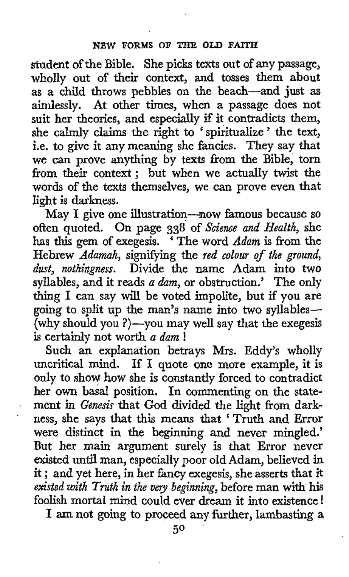student of the Bible. She picks texts out of any passage, wholly out of their context, and tosses them about **as** a child throws pebbles on the beach-and just **as**  aimlessly. At other times, when a passage does not suit her theories, and especially if it contradicts them, she calmly claims the right to ' spiritualize ' the text, i.e. to give it any meaning she fancies. They say that we can prove anything by texts from the Bible, torn from their context; but when we actually twist the words of the texts themselves, we **can** prove even that light is darkness.

May I give one illustration-now famous because so often quoted. On page *338* of *Science and Health,* she has *this* gem of exegesis. The word *Adam* is from the Hebrew *Adamah*, signifying the *red colour of the ground*, *dust, nothingness.* Divide the name Adam into two syllables, and it reads *a dam,* or obstruction.' The only thing I can say will be voted impolite, but if you are going to split up the man's name into two syllables- (why should you ?)-you may well say that the exegesis is certainly not worth *a dam* !

**Such** an explanation betrays Mrs. Eddy's wholly uncritical mind. If I quote one more example, it is only to shoy how she is constantly forced to contradict her own basal position. In commenting on the state- ' ment in *Genesis* that God divided the light from darkness, she says that this means that ' Truth and Error were distinct in the beginning and never mingled.' But her main argument surely is that Error never existed until man, especially poor old Adam, believed in it ; and yet here, in her fancy exegesis, she asserts that it *existed with Truth in the vey beginning,* before man with his foolish mortal mind could ever dream it into existence !

I **am** not going to proceed any further, lambasting **<sup>a</sup>**